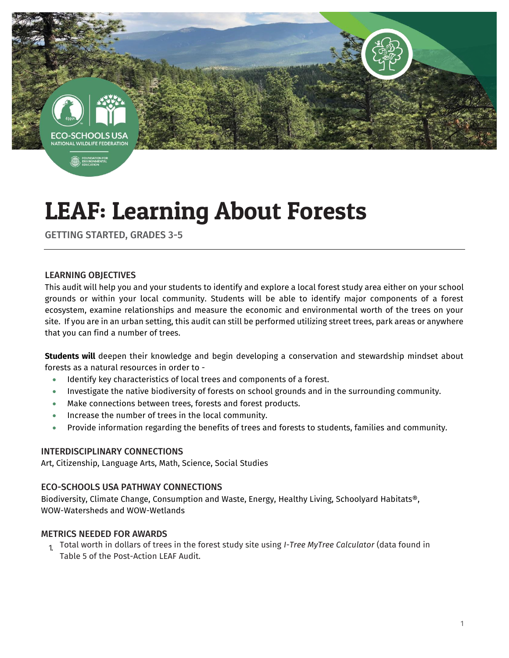

# LEAF: Learning About Forests

GETTING STARTED, GRADES 3-5

#### LEARNING OBJECTIVES

This audit will help you and your students to identify and explore a local forest study area either on your school grounds or within your local community. Students will be able to identify major components of a forest ecosystem, examine relationships and measure the economic and environmental worth of the trees on your site. If you are in an urban setting, this audit can still be performed utilizing street trees, park areas or anywhere that you can find a number of trees.

**Students will** deepen their knowledge and begin developing a conservation and stewardship mindset about forests as a natural resources in order to -

- Identify key characteristics of local trees and components of a forest.
- Investigate the native biodiversity of forests on school grounds and in the surrounding community.
- Make connections between trees, forests and forest products.
- **Increase the number of trees in the local community.**
- Provide information regarding the benefits of trees and forests to students, families and community.

#### INTERDISCIPLINARY CONNECTIONS

Art, Citizenship, Language Arts, Math, Science, Social Studies

#### ECO-SCHOOLS USA PATHWAY CONNECTIONS

Biodiversity, Climate Change, Consumption and Waste, Energy, Healthy Living, Schoolyard Habitats®, WOW-Watersheds and WOW-Wetlands

#### METRICS NEEDED FOR AWARDS

1. Total worth in dollars of trees in the forest study site using *I-Tree MyTree Calculator* (data found in Table 5 of the Post-Action LEAF Audit.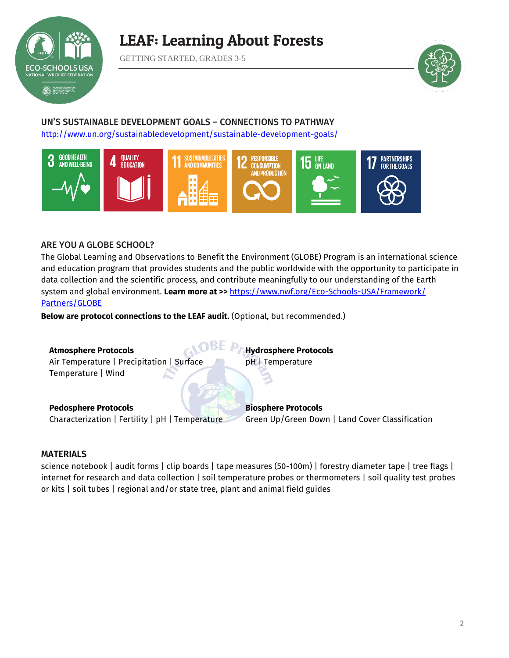

### LEAF: Learning About Forests

GETTING STARTED, GRADES 3-5



#### UN'S SUSTAINABLE DEVELOPMENT GOALS – CONNECTIONS TO PATHWAY <http://www.un.org/sustainabledevelopment/sustainable-development-goals/>



#### ARE YOU A GLOBE SCHOOL?

The Global Learning and Observations to Benefit the Environment (GLOBE) Program is an international science and education program that provides students and the public worldwide with the opportunity to participate in data collection and the scientific process, and contribute meaningfully to our understanding of the Earth system and global environment. **Learn more at >>** [https://www.nwf.org/Eco-Schools-USA/Framework/](https://www.nwf.org/Eco-Schools-USA/Framework/Partners/GLOBE) Partners/GLOBE

**Below are protocol connections to the LEAF audit.** (Optional, but recommended.)

| <b>Atmosphere Protocols</b>                     | <b>Hydrosphere Protocols</b>                    |
|-------------------------------------------------|-------------------------------------------------|
| Air Temperature   Precipitation   Surface       | pH   Temperature                                |
| Temperature   Wind                              |                                                 |
| <b>Pedosphere Protocols</b>                     | <b>Biosphere Protocols</b>                      |
| Characterization   Fertility   pH   Temperature | Green Up/Green Down   Land Cover Classification |

#### MATERIALS

science notebook | audit forms | clip boards | tape measures (50-100m) | forestry diameter tape | tree flags | internet for research and data collection | soil temperature probes or thermometers | soil quality test probes or kits | soil tubes | regional and/or state tree, plant and animal field guides